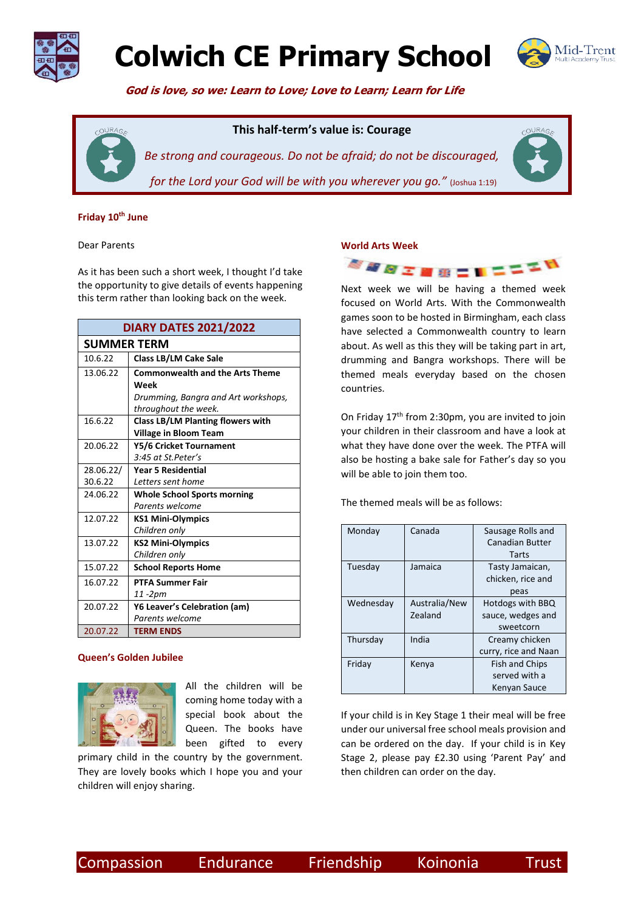

# **Colwich CE Primary School**



COURA

 **God is love, so we: Learn to Love; Love to Learn; Learn for Life**

## **This half-term's value is: Courage**



*Be strong and courageous. Do not be afraid; do not be discouraged, for the Lord your God will be with you wherever you go.*" (Joshua 1:19)

#### **Friday 10th June**

#### Dear Parents

As it has been such a short week, I thought I'd take the opportunity to give details of events happening this term rather than looking back on the week.

| <b>DIARY DATES 2021/2022</b> |                                          |  |  |
|------------------------------|------------------------------------------|--|--|
| <b>SUMMER TERM</b>           |                                          |  |  |
| 10.6.22                      | <b>Class LB/LM Cake Sale</b>             |  |  |
| 13.06.22                     | <b>Commonwealth and the Arts Theme</b>   |  |  |
|                              | Week                                     |  |  |
|                              | Drumming, Bangra and Art workshops,      |  |  |
|                              | throughout the week.                     |  |  |
| 16.6.22                      | <b>Class LB/LM Planting flowers with</b> |  |  |
|                              | <b>Village in Bloom Team</b>             |  |  |
| 20.06.22                     | Y5/6 Cricket Tournament                  |  |  |
|                              | 3:45 at St.Peter's                       |  |  |
| 28.06.22/                    | <b>Year 5 Residential</b>                |  |  |
| 30.6.22                      | Letters sent home                        |  |  |
| 24.06.22                     | <b>Whole School Sports morning</b>       |  |  |
|                              | Parents welcome                          |  |  |
| 12.07.22                     | <b>KS1 Mini-Olympics</b>                 |  |  |
|                              | Children only                            |  |  |
| 13.07.22                     | <b>KS2 Mini-Olympics</b>                 |  |  |
|                              | Children only                            |  |  |
| 15.07.22                     | <b>School Reports Home</b>               |  |  |
| 16.07.22                     | <b>PTFA Summer Fair</b>                  |  |  |
|                              | 11 -2pm                                  |  |  |
| 20.07.22                     | Y6 Leaver's Celebration (am)             |  |  |
|                              | Parents welcome                          |  |  |
| 20.07.22                     | <b>TERM ENDS</b>                         |  |  |

#### **Queen's Golden Jubilee**



All the children will be coming home today with a special book about the Queen. The books have been gifted to every

primary child in the country by the government. They are lovely books which I hope you and your children will enjoy sharing.

## **World Arts Week**



Next week we will be having a themed week focused on World Arts. With the Commonwealth games soon to be hosted in Birmingham, each class have selected a Commonwealth country to learn about. As well as this they will be taking part in art, drumming and Bangra workshops. There will be themed meals everyday based on the chosen countries.

On Friday 17<sup>th</sup> from 2:30pm, you are invited to join your children in their classroom and have a look at what they have done over the week. The PTFA will also be hosting a bake sale for Father's day so you will be able to join them too.

The themed meals will be as follows:

| Monday    | Canada        | Sausage Rolls and     |
|-----------|---------------|-----------------------|
|           |               |                       |
|           |               | Canadian Butter       |
|           |               | Tarts                 |
| Tuesday   | Jamaica       | Tasty Jamaican,       |
|           |               | chicken, rice and     |
|           |               | peas                  |
| Wednesday | Australia/New | Hotdogs with BBQ      |
|           | Zealand       | sauce, wedges and     |
|           |               | sweetcorn             |
| Thursday  | India         | Creamy chicken        |
|           |               | curry, rice and Naan  |
| Friday    | Kenya         | <b>Fish and Chips</b> |
|           |               | served with a         |
|           |               | Kenyan Sauce          |

If your child is in Key Stage 1 their meal will be free under our universal free school meals provision and can be ordered on the day. If your child is in Key Stage 2, please pay £2.30 using 'Parent Pay' and then children can order on the day.

Compassion Endurance Friendship Koinonia Trust